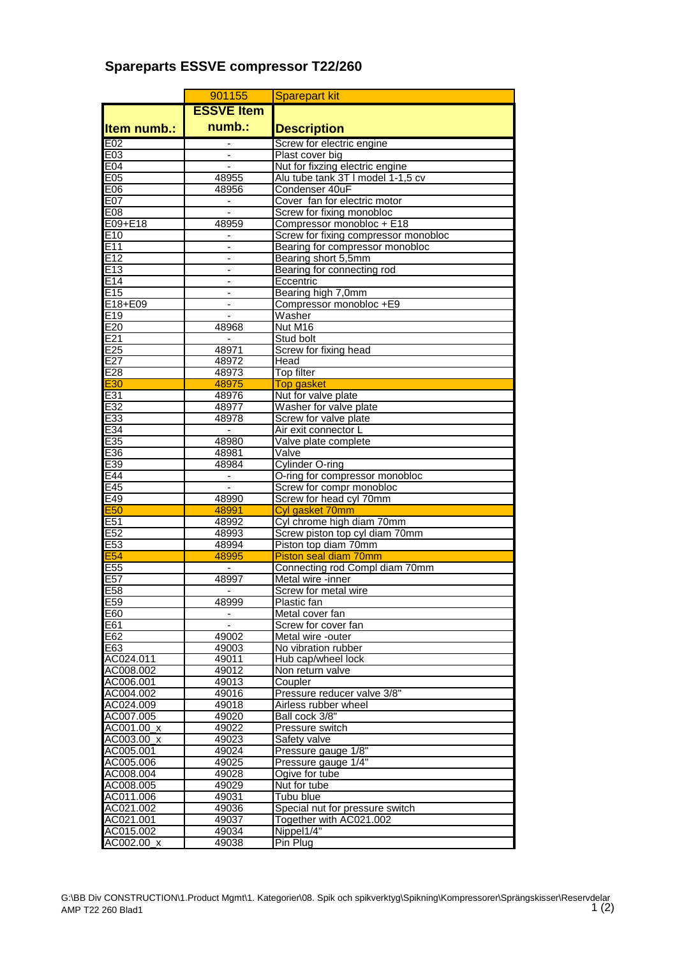## **Spareparts ESSVE compressor T22/260**

|                        | 901155                       | <b>Sparepart kit</b>                                                    |
|------------------------|------------------------------|-------------------------------------------------------------------------|
|                        | <b>ESSVE Item</b>            |                                                                         |
| <b>Item numb.:</b>     | numb.:                       | <b>Description</b>                                                      |
| E02                    |                              | Screw for electric engine                                               |
| E03                    |                              | Plast cover big                                                         |
| E04                    | $\overline{a}$               | Nut for fixzing electric engine                                         |
| E05                    | 48955                        | Alu tube tank 3T I model 1-1,5 cv                                       |
| E06                    | 48956                        | Condenser 40uF                                                          |
| <b>E07</b>             | $\overline{\phantom{a}}$     | Cover fan for electric motor                                            |
| E08                    | $\overline{\phantom{a}}$     | Screw for fixing monobloc                                               |
| E09+E18                | 48959                        | Compressor monobloc + E18                                               |
| E <sub>10</sub><br>E11 | $\qquad \qquad \blacksquare$ | Screw for fixing compressor monobloc<br>Bearing for compressor monobloc |
| E12                    | $\qquad \qquad \blacksquare$ | Bearing short 5,5mm                                                     |
| E <sub>13</sub>        |                              | Bearing for connecting rod                                              |
| E14                    | $\overline{\phantom{a}}$     | Eccentric                                                               |
| E15                    |                              | Bearing high 7,0mm                                                      |
| E18+E09                |                              | Compressor monobloc +E9                                                 |
| E <sub>19</sub>        |                              | Washer                                                                  |
| E20                    | 48968                        | Nut M <sub>16</sub>                                                     |
| E21                    |                              | Stud bolt                                                               |
| E25                    | 48971                        | Screw for fixing head                                                   |
| E27                    | 48972                        | Head                                                                    |
| E28                    | 48973                        | Top filter                                                              |
| <b>E30</b>             | 48975                        | <b>Top gasket</b><br>Nut for valve plate                                |
| E31<br>E32             | 48976<br>48977               | Washer for valve plate                                                  |
| E33                    | 48978                        | Screw for valve plate                                                   |
| E34                    | $\sim$                       | Air exit connector L                                                    |
| E35                    | 48980                        | Valve plate complete                                                    |
| E36                    | 48981                        | Valve                                                                   |
| E39                    | 48984                        | <b>Cylinder O-ring</b>                                                  |
| E44                    | $\overline{\phantom{a}}$     | O-ring for compressor monobloc                                          |
| E45                    | $\blacksquare$               | Screw for compr monobloc                                                |
| E49                    | 48990                        | Screw for head cyl 70mm                                                 |
| E <sub>50</sub>        | 48991                        | Cyl gasket 70mm                                                         |
| E51                    | 48992                        | Cyl chrome high diam 70mm                                               |
| E <sub>52</sub>        | 48993                        | Screw piston top cyl diam 70mm                                          |
| E53<br><b>E54</b>      | 48994<br>48995               | Piston top diam 70mm<br>Piston seal diam 70mm                           |
| E <sub>55</sub>        | $\overline{\phantom{a}}$     | Connecting rod Compl diam 70mm                                          |
| E <sub>57</sub>        | 48997                        | Metal wire -inner                                                       |
| E58                    |                              | Screw for metal wire                                                    |
| E59                    | 48999                        | Plastic fan                                                             |
| E60                    |                              | Metal cover fan                                                         |
| E61                    |                              | Screw for cover fan                                                     |
| E62                    | 49002                        | Metal wire -outer                                                       |
| E63                    | 49003                        | No vibration rubber                                                     |
| AC024.011              | 49011                        | Hub cap/wheel lock                                                      |
| AC008.002              | 49012                        | Non return valve                                                        |
| AC006.001              | 49013                        | Coupler                                                                 |
| AC004.002<br>AC024.009 | 49016<br>49018               | Pressure reducer valve 3/8"<br>Airless rubber wheel                     |
| AC007.005              | 49020                        | Ball cock 3/8"                                                          |
| AC001.00_x             | 49022                        | Pressure switch                                                         |
| AC003.00 x             | 49023                        | Safety valve                                                            |
| AC005.001              | 49024                        | Pressure gauge 1/8"                                                     |
| AC005.006              | 49025                        | Pressure gauge 1/4"                                                     |
| AC008.004              | 49028                        | Ogive for tube                                                          |
| AC008.005              | 49029                        | Nut for tube                                                            |
| AC011.006              | 49031                        | Tubu blue                                                               |
| AC021.002              | 49036                        | Special nut for pressure switch                                         |
| AC021.001              | 49037                        | Together with AC021.002                                                 |
| AC015.002              | 49034                        | Nippel1/4"                                                              |
| AC002.00_x             | 49038                        | Pin Plug                                                                |